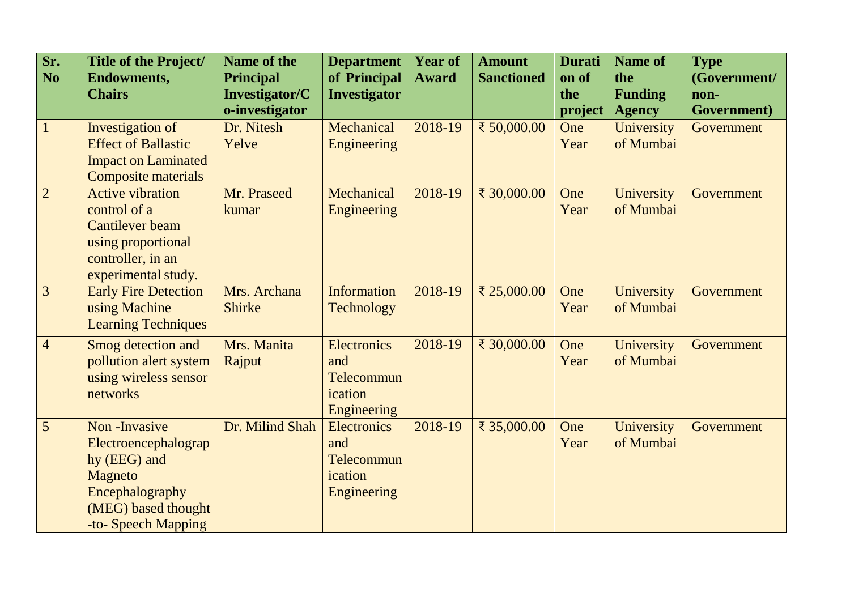| Sr.<br><b>No</b> | Title of the Project/<br><b>Endowments,</b><br><b>Chairs</b>                                                                            | <b>Name of the</b><br><b>Principal</b><br><b>Investigator/C</b><br>o-investigator | <b>Department</b><br>of Principal<br><b>Investigator</b>          | <b>Year of</b><br><b>Award</b> | <b>Amount</b><br><b>Sanctioned</b> | <b>Durati</b><br>on of<br>the<br>project | <b>Name of</b><br>the<br><b>Funding</b><br><b>Agency</b> | <b>Type</b><br>(Government/<br>non-<br>Government) |
|------------------|-----------------------------------------------------------------------------------------------------------------------------------------|-----------------------------------------------------------------------------------|-------------------------------------------------------------------|--------------------------------|------------------------------------|------------------------------------------|----------------------------------------------------------|----------------------------------------------------|
| $\overline{1}$   | Investigation of<br><b>Effect of Ballastic</b><br><b>Impact on Laminated</b><br>Composite materials                                     | Dr. Nitesh<br>Yelve                                                               | Mechanical<br>Engineering                                         | 2018-19                        | ₹ 50,000.00                        | One<br>Year                              | University<br>of Mumbai                                  | Government                                         |
| $\overline{2}$   | <b>Active vibration</b><br>control of a<br><b>Cantilever</b> beam<br>using proportional<br>controller, in an<br>experimental study.     | Mr. Praseed<br>kumar                                                              | Mechanical<br><b>Engineering</b>                                  | 2018-19                        | ₹ 30,000.00                        | One<br>Year                              | University<br>of Mumbai                                  | Government                                         |
| $\overline{3}$   | <b>Early Fire Detection</b><br>using Machine<br><b>Learning Techniques</b>                                                              | Mrs. Archana<br><b>Shirke</b>                                                     | <b>Information</b><br>Technology                                  | 2018-19                        | ₹ 25,000.00                        | One<br>Year                              | University<br>of Mumbai                                  | Government                                         |
| $\overline{4}$   | Smog detection and<br>pollution alert system<br>using wireless sensor<br>networks                                                       | Mrs. Manita<br>Rajput                                                             | Electronics<br>and<br>Telecommun<br>ication<br>Engineering        | 2018-19                        | ₹ 30,000.00                        | One<br>Year                              | University<br>of Mumbai                                  | Government                                         |
| $\overline{5}$   | Non-Invasive<br>Electroencephalograp<br>hy (EEG) and<br><b>Magneto</b><br>Encephalography<br>(MEG) based thought<br>-to- Speech Mapping | Dr. Milind Shah                                                                   | <b>Electronics</b><br>and<br>Telecommun<br>ication<br>Engineering | 2018-19                        | ₹ 35,000.00                        | One<br>Year                              | University<br>of Mumbai                                  | Government                                         |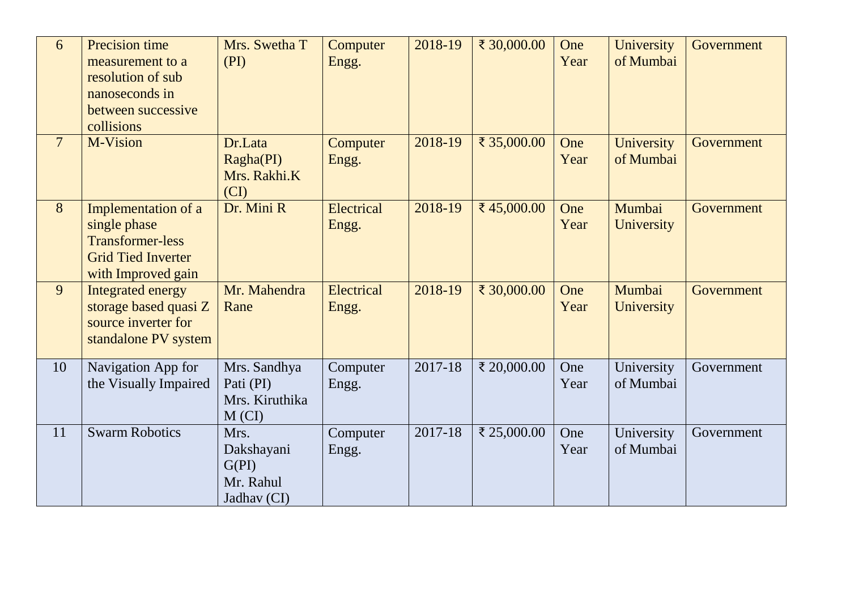| 6               | Precision time<br>measurement to a<br>resolution of sub<br>nanoseconds in<br>between successive<br>collisions     | Mrs. Swetha T<br>(PI)                                   | Computer<br>Engg.   | 2018-19 | ₹ 30,000.00 | One<br>Year | University<br>of Mumbai | Government |
|-----------------|-------------------------------------------------------------------------------------------------------------------|---------------------------------------------------------|---------------------|---------|-------------|-------------|-------------------------|------------|
| $7\overline{ }$ | M-Vision                                                                                                          | Dr.Lata<br>Ragha(PI)<br>Mrs. Rakhi.K<br>(CI)            | Computer<br>Engg.   | 2018-19 | ₹ 35,000.00 | One<br>Year | University<br>of Mumbai | Government |
| 8               | Implementation of a<br>single phase<br><b>Transformer-less</b><br><b>Grid Tied Inverter</b><br>with Improved gain | Dr. Mini R                                              | Electrical<br>Engg. | 2018-19 | ₹45,000.00  | One<br>Year | Mumbai<br>University    | Government |
| 9               | <b>Integrated energy</b><br>storage based quasi Z<br>source inverter for<br>standalone PV system                  | Mr. Mahendra<br>Rane                                    | Electrical<br>Engg. | 2018-19 | ₹ 30,000.00 | One<br>Year | Mumbai<br>University    | Government |
| 10              | Navigation App for<br>the Visually Impaired                                                                       | Mrs. Sandhya<br>Pati (PI)<br>Mrs. Kiruthika<br>M (CI)   | Computer<br>Engg.   | 2017-18 | ₹ 20,000.00 | One<br>Year | University<br>of Mumbai | Government |
| 11              | <b>Swarm Robotics</b>                                                                                             | Mrs.<br>Dakshayani<br>G(PI)<br>Mr. Rahul<br>Jadhav (CI) | Computer<br>Engg.   | 2017-18 | ₹ 25,000.00 | One<br>Year | University<br>of Mumbai | Government |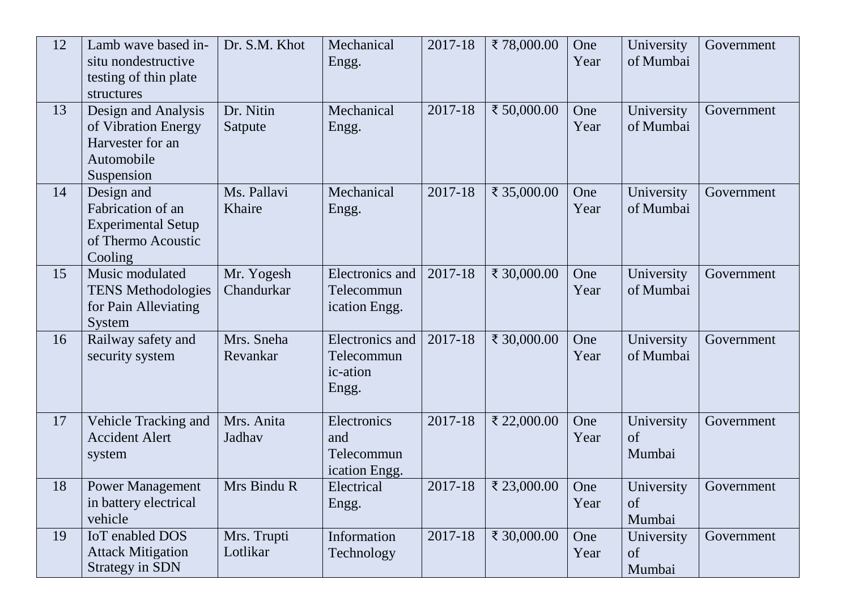| 12 | Lamb wave based in-<br>situ nondestructive<br>testing of thin plate<br>structures             | Dr. S.M. Khot            | Mechanical<br>Engg.                                       | 2017-18 | ₹78,000.00  | One<br>Year | University<br>of Mumbai    | Government |
|----|-----------------------------------------------------------------------------------------------|--------------------------|-----------------------------------------------------------|---------|-------------|-------------|----------------------------|------------|
| 13 | Design and Analysis<br>of Vibration Energy<br>Harvester for an<br>Automobile<br>Suspension    | Dr. Nitin<br>Satpute     | Mechanical<br>Engg.                                       | 2017-18 | ₹ 50,000.00 | One<br>Year | University<br>of Mumbai    | Government |
| 14 | Design and<br>Fabrication of an<br><b>Experimental Setup</b><br>of Thermo Acoustic<br>Cooling | Ms. Pallavi<br>Khaire    | Mechanical<br>Engg.                                       | 2017-18 | ₹ 35,000.00 | One<br>Year | University<br>of Mumbai    | Government |
| 15 | Music modulated<br><b>TENS Methodologies</b><br>for Pain Alleviating<br>System                | Mr. Yogesh<br>Chandurkar | <b>Electronics</b> and<br>Telecommun<br>ication Engg.     | 2017-18 | ₹ 30,000.00 | One<br>Year | University<br>of Mumbai    | Government |
| 16 | Railway safety and<br>security system                                                         | Mrs. Sneha<br>Revankar   | <b>Electronics</b> and<br>Telecommun<br>ic-ation<br>Engg. | 2017-18 | ₹ 30,000.00 | One<br>Year | University<br>of Mumbai    | Government |
| 17 | Vehicle Tracking and<br><b>Accident Alert</b><br>system                                       | Mrs. Anita<br>Jadhav     | Electronics<br>and<br>Telecommun<br>ication Engg.         | 2017-18 | ₹ 22,000.00 | One<br>Year | University<br>of<br>Mumbai | Government |
| 18 | <b>Power Management</b><br>in battery electrical<br>vehicle                                   | Mrs Bindu R              | Electrical<br>Engg.                                       | 2017-18 | ₹ 23,000.00 | One<br>Year | University<br>of<br>Mumbai | Government |
| 19 | <b>IoT</b> enabled DOS<br><b>Attack Mitigation</b><br><b>Strategy in SDN</b>                  | Mrs. Trupti<br>Lotlikar  | Information<br>Technology                                 | 2017-18 | ₹ 30,000.00 | One<br>Year | University<br>of<br>Mumbai | Government |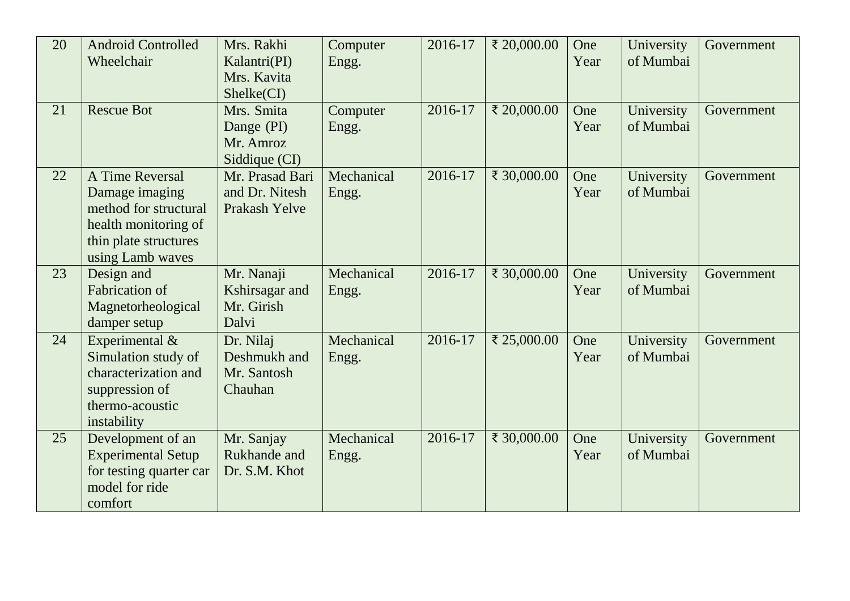| 20 | <b>Android Controlled</b><br>Wheelchair                                                                                         | Mrs. Rakhi<br>Kalantri(PI)<br>Mrs. Kavita<br>Shelke(CI) | Computer<br>Engg.   | 2016-17 | ₹ 20,000.00 | One<br>Year | University<br>of Mumbai | Government |
|----|---------------------------------------------------------------------------------------------------------------------------------|---------------------------------------------------------|---------------------|---------|-------------|-------------|-------------------------|------------|
| 21 | <b>Rescue Bot</b>                                                                                                               | Mrs. Smita<br>Dange (PI)<br>Mr. Amroz<br>Siddique (CI)  | Computer<br>Engg.   | 2016-17 | ₹ 20,000.00 | One<br>Year | University<br>of Mumbai | Government |
| 22 | A Time Reversal<br>Damage imaging<br>method for structural<br>health monitoring of<br>thin plate structures<br>using Lamb waves | Mr. Prasad Bari<br>and Dr. Nitesh<br>Prakash Yelve      | Mechanical<br>Engg. | 2016-17 | ₹ 30,000.00 | One<br>Year | University<br>of Mumbai | Government |
| 23 | Design and<br><b>Fabrication of</b><br>Magnetorheological<br>damper setup                                                       | Mr. Nanaji<br>Kshirsagar and<br>Mr. Girish<br>Dalvi     | Mechanical<br>Engg. | 2016-17 | ₹ 30,000.00 | One<br>Year | University<br>of Mumbai | Government |
| 24 | Experimental &<br>Simulation study of<br>characterization and<br>suppression of<br>thermo-acoustic<br>instability               | Dr. Nilaj<br>Deshmukh and<br>Mr. Santosh<br>Chauhan     | Mechanical<br>Engg. | 2016-17 | ₹ 25,000.00 | One<br>Year | University<br>of Mumbai | Government |
| 25 | Development of an<br><b>Experimental Setup</b><br>for testing quarter car<br>model for ride<br>comfort                          | Mr. Sanjay<br>Rukhande and<br>Dr. S.M. Khot             | Mechanical<br>Engg. | 2016-17 | ₹ 30,000.00 | One<br>Year | University<br>of Mumbai | Government |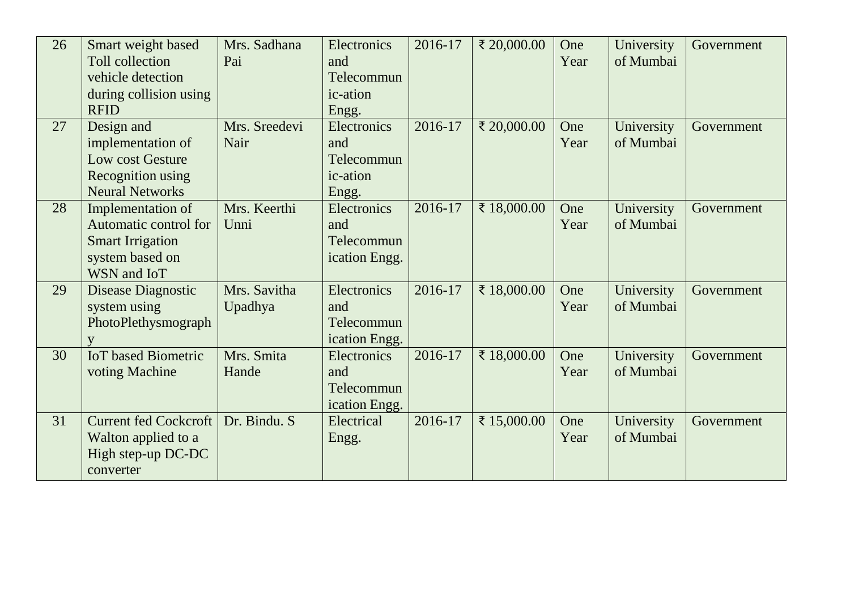| 26 | Smart weight based<br><b>Toll collection</b><br>vehicle detection<br>during collision using<br><b>RFID</b> | Mrs. Sadhana<br>Pai     | Electronics<br>and<br>Telecommun<br>ic-ation<br>Engg. | 2016-17 | ₹ 20,000.00 | One<br>Year | University<br>of Mumbai | Government |
|----|------------------------------------------------------------------------------------------------------------|-------------------------|-------------------------------------------------------|---------|-------------|-------------|-------------------------|------------|
| 27 | Design and<br>implementation of<br>Low cost Gesture<br>Recognition using<br><b>Neural Networks</b>         | Mrs. Sreedevi<br>Nair   | Electronics<br>and<br>Telecommun<br>ic-ation<br>Engg. | 2016-17 | ₹ 20,000.00 | One<br>Year | University<br>of Mumbai | Government |
| 28 | Implementation of<br>Automatic control for<br><b>Smart Irrigation</b><br>system based on<br>WSN and IoT    | Mrs. Keerthi<br>Unni    | Electronics<br>and<br>Telecommun<br>ication Engg.     | 2016-17 | ₹ 18,000.00 | One<br>Year | University<br>of Mumbai | Government |
| 29 | Disease Diagnostic<br>system using<br>PhotoPlethysmograph                                                  | Mrs. Savitha<br>Upadhya | Electronics<br>and<br>Telecommun<br>ication Engg.     | 2016-17 | ₹ 18,000.00 | One<br>Year | University<br>of Mumbai | Government |
| 30 | <b>IoT</b> based Biometric<br>voting Machine                                                               | Mrs. Smita<br>Hande     | Electronics<br>and<br>Telecommun<br>ication Engg.     | 2016-17 | ₹ 18,000.00 | One<br>Year | University<br>of Mumbai | Government |
| 31 | <b>Current fed Cockcroft</b><br>Walton applied to a<br>High step-up DC-DC<br>converter                     | Dr. Bindu. S            | Electrical<br>Engg.                                   | 2016-17 | ₹ 15,000.00 | One<br>Year | University<br>of Mumbai | Government |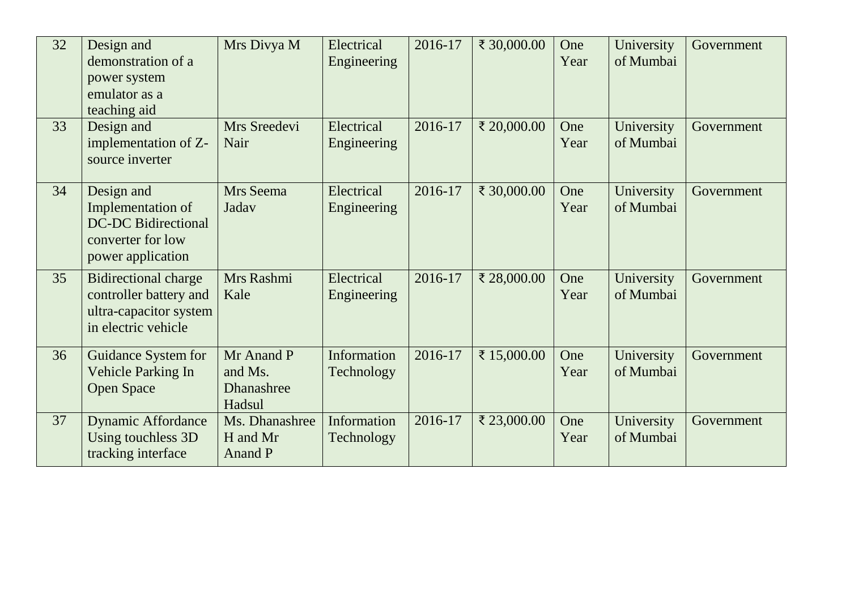| 32 | Design and<br>demonstration of a<br>power system<br>emulator as a<br>teaching aid                       | Mrs Divya M                                   | Electrical<br>Engineering | 2016-17 | ₹ 30,000.00 | One<br>Year | University<br>of Mumbai | Government |
|----|---------------------------------------------------------------------------------------------------------|-----------------------------------------------|---------------------------|---------|-------------|-------------|-------------------------|------------|
| 33 | Design and<br>implementation of Z-<br>source inverter                                                   | Mrs Sreedevi<br>Nair                          | Electrical<br>Engineering | 2016-17 | ₹ 20,000.00 | One<br>Year | University<br>of Mumbai | Government |
| 34 | Design and<br>Implementation of<br><b>DC-DC Bidirectional</b><br>converter for low<br>power application | Mrs Seema<br>Jadav                            | Electrical<br>Engineering | 2016-17 | ₹ 30,000.00 | One<br>Year | University<br>of Mumbai | Government |
| 35 | <b>Bidirectional charge</b><br>controller battery and<br>ultra-capacitor system<br>in electric vehicle  | Mrs Rashmi<br>Kale                            | Electrical<br>Engineering | 2016-17 | ₹ 28,000.00 | One<br>Year | University<br>of Mumbai | Government |
| 36 | Guidance System for<br><b>Vehicle Parking In</b><br><b>Open Space</b>                                   | Mr Anand P<br>and Ms.<br>Dhanashree<br>Hadsul | Information<br>Technology | 2016-17 | ₹ 15,000.00 | One<br>Year | University<br>of Mumbai | Government |
| 37 | <b>Dynamic Affordance</b><br>Using touchless 3D<br>tracking interface                                   | Ms. Dhanashree<br>H and Mr<br>Anand P         | Information<br>Technology | 2016-17 | ₹ 23,000.00 | One<br>Year | University<br>of Mumbai | Government |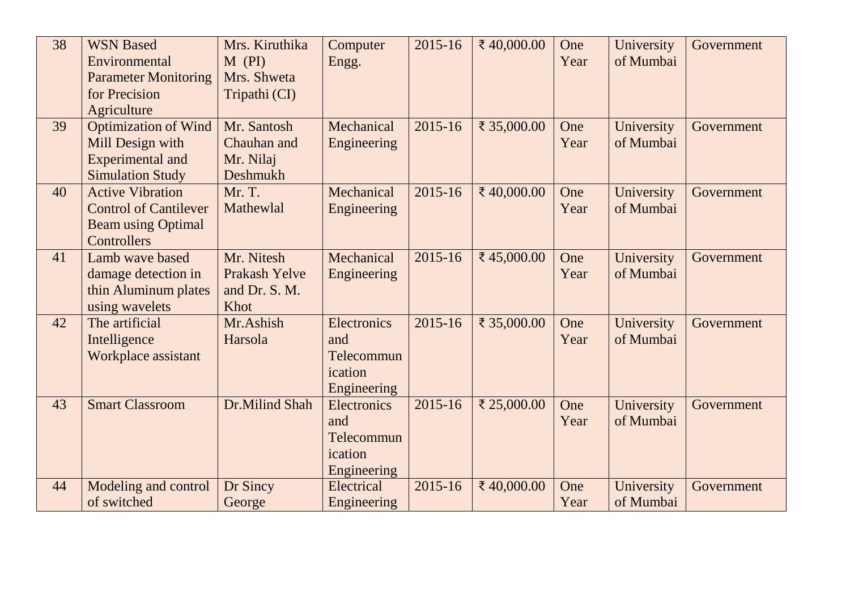| 38 | <b>WSN Based</b><br>Environmental<br><b>Parameter Monitoring</b><br>for Precision<br>Agriculture      | Mrs. Kiruthika<br>$M$ (PI)<br>Mrs. Shweta<br>Tripathi (CI)  | Computer<br>Engg.                                          | $2015 - 16$ | ₹40,000.00  | One<br>Year | University<br>of Mumbai | Government |
|----|-------------------------------------------------------------------------------------------------------|-------------------------------------------------------------|------------------------------------------------------------|-------------|-------------|-------------|-------------------------|------------|
| 39 | <b>Optimization of Wind</b><br>Mill Design with<br><b>Experimental and</b><br><b>Simulation Study</b> | Mr. Santosh<br>Chauhan and<br>Mr. Nilaj<br><b>Deshmukh</b>  | Mechanical<br>Engineering                                  | $2015 - 16$ | ₹ 35,000.00 | One<br>Year | University<br>of Mumbai | Government |
| 40 | <b>Active Vibration</b><br><b>Control of Cantilever</b><br><b>Beam using Optimal</b><br>Controllers   | Mr. T.<br>Mathewlal                                         | Mechanical<br>Engineering                                  | 2015-16     | ₹40,000.00  | One<br>Year | University<br>of Mumbai | Government |
| 41 | Lamb wave based<br>damage detection in<br>thin Aluminum plates<br>using wavelets                      | Mr. Nitesh<br><b>Prakash Yelve</b><br>and Dr. S. M.<br>Khot | Mechanical<br>Engineering                                  | 2015-16     | ₹45,000.00  | One<br>Year | University<br>of Mumbai | Government |
| 42 | The artificial<br>Intelligence<br>Workplace assistant                                                 | Mr.Ashish<br>Harsola                                        | Electronics<br>and<br>Telecommun<br>ication<br>Engineering | $2015 - 16$ | ₹ 35,000.00 | One<br>Year | University<br>of Mumbai | Government |
| 43 | <b>Smart Classroom</b>                                                                                | Dr.Milind Shah                                              | Electronics<br>and<br>Telecommun<br>ication<br>Engineering | 2015-16     | ₹ 25,000.00 | One<br>Year | University<br>of Mumbai | Government |
| 44 | Modeling and control<br>of switched                                                                   | Dr Sincy<br>George                                          | Electrical<br>Engineering                                  | 2015-16     | ₹40,000.00  | One<br>Year | University<br>of Mumbai | Government |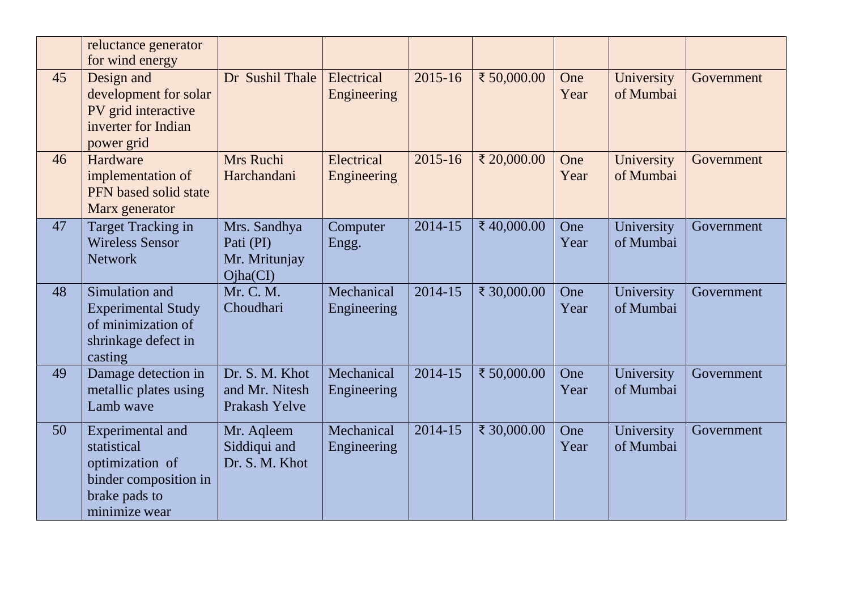|    | reluctance generator<br>for wind energy                                                                       |                                                          |                           |             |             |             |                         |            |
|----|---------------------------------------------------------------------------------------------------------------|----------------------------------------------------------|---------------------------|-------------|-------------|-------------|-------------------------|------------|
| 45 | Design and<br>development for solar<br>PV grid interactive<br>inverter for Indian<br>power grid               | Dr Sushil Thale                                          | Electrical<br>Engineering | $2015 - 16$ | ₹ 50,000.00 | One<br>Year | University<br>of Mumbai | Government |
| 46 | Hardware<br>implementation of<br>PFN based solid state<br>Marx generator                                      | Mrs Ruchi<br>Harchandani                                 | Electrical<br>Engineering | $2015 - 16$ | ₹ 20,000.00 | One<br>Year | University<br>of Mumbai | Government |
| 47 | <b>Target Tracking in</b><br><b>Wireless Sensor</b><br><b>Network</b>                                         | Mrs. Sandhya<br>Pati (PI)<br>Mr. Mritunjay<br>Ojha(CI)   | Computer<br>Engg.         | $2014 - 15$ | ₹40,000.00  | One<br>Year | University<br>of Mumbai | Government |
| 48 | Simulation and<br><b>Experimental Study</b><br>of minimization of<br>shrinkage defect in<br>casting           | Mr. C. M.<br>Choudhari                                   | Mechanical<br>Engineering | 2014-15     | ₹ 30,000.00 | One<br>Year | University<br>of Mumbai | Government |
| 49 | Damage detection in<br>metallic plates using<br>Lamb wave                                                     | Dr. S. M. Khot<br>and Mr. Nitesh<br><b>Prakash Yelve</b> | Mechanical<br>Engineering | 2014-15     | ₹ 50,000.00 | One<br>Year | University<br>of Mumbai | Government |
| 50 | Experimental and<br>statistical<br>optimization of<br>binder composition in<br>brake pads to<br>minimize wear | Mr. Aqleem<br>Siddiqui and<br>Dr. S. M. Khot             | Mechanical<br>Engineering | 2014-15     | ₹ 30,000.00 | One<br>Year | University<br>of Mumbai | Government |